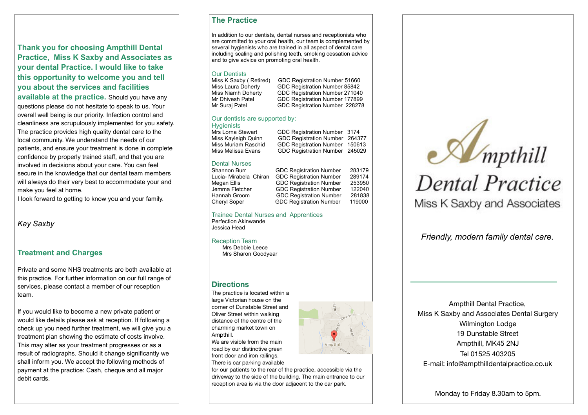**Thank you for choosing Ampthill Dental Practice, Miss K Saxby and Associates as your dental Practice. I would like to take this opportunity to welcome you and tell you about the services and facilities** 

**available at the practice.** Should you have any questions please do not hesitate to speak to us. Your overall well being is our priority. Infection control and cleanliness are scrupulously implemented for you safety. The practice provides high quality dental care to the local community. We understand the needs of our patients, and ensure your treatment is done in complete confidence by properly trained staff, and that you are involved in decisions about your care. You can feel secure in the knowledge that our dental team members will always do their very best to accommodate your and make you feel at home.

I look forward to getting to know you and your family.

#### *Kay Saxby*

#### **Treatment and Charges**

Private and some NHS treatments are both available at this practice. For further information on our full range of services, please contact a member of our reception team.

If you would like to become a new private patient or would like details please ask at reception. If following a check up you need further treatment, we will give you a treatment plan showing the estimate of costs involve. This may alter as your treatment progresses or as a result of radiographs. Should it change significantly we shall inform you. We accept the following methods of payment at the practice: Cash, cheque and all major debit cards.

#### **The Practice**

In addition to our dentists, dental nurses and receptionists who are committed to your oral health, our team is complemented by several hygienists who are trained in all aspect of dental care including scaling and polishing teeth, smoking cessation advice and to give advice on promoting oral health.

# Our Dentists<br>Miss K Saxby (Retired)

Miss K Saxby ( Retired) GDC Registration Number 51660<br>Miss Laura Doherty GDC Registration Number 85842 Miss Laura Doherty (GDC Registration Number 85842)<br>Miss Niamh Doherty (GDC Registration Number 271040) Miss Niamh Doherty GDC Registration Number 271040<br>Mr Dhivesh Patel GDC Registration Number 177899 GDC Registration Number 177899 Mr Suraj Patel GDC Registration Number 228278

#### Our dentists are supported by:

Hygienists<br>Mrs Lorna Stewart

Mrs Lorna Stewart GDC Registration Number 3174<br>Miss Kayleigh Quinn GDC Registration Number 2643 Miss Kayleigh Quinn GDC Registration Number 264377 Miss Muriam Raschid GDC Registration Number 150613 GDC Registration Number 245029

#### Dental Nurses

Shannon Burr GDC Registration Number 283179<br>Lucia- Mirabela Chiran GDC Registration Number 289174 Lucia- Mirabela Chiran GDC Registration Number Megan Ellis GDC Registration Number 253950 Jemma Fletcher GDC Registration Number 122040 Hannah Groom GDC Registration Number 281838 Cheryl Soper GDC Registration Number 119000

#### Trainee Dental Nurses and Apprentices Perfection Akinwande Jessica Head

Reception Team

 Mrs Debbie Leece Mrs Sharon Goodyear

#### **Directions**

The practice is located within a large Victorian house on the corner of Dunstable Street and Oliver Street within walking distance of the centre of the charming market town on Ampthill.

We are visible from the main road by our distinctive green front door and iron railings. There is car parking available

for our patients to the rear of the practice, accessible via the driveway to the side of the building. The main entrance to our reception area is via the door adjacent to the car park.



*Friendly, modern family dental care.*

Ampthill Dental Practice, Miss K Saxby and Associates Dental Surgery Wilmington Lodge 19 Dunstable Street Ampthill, MK45 2NJ Tel 01525 403205 E-mail: [info@ampthilldentalpractice.co.uk](mailto:info@ampthilldentalpractice.co.uk)

Monday to Friday 8.30am to 5pm.